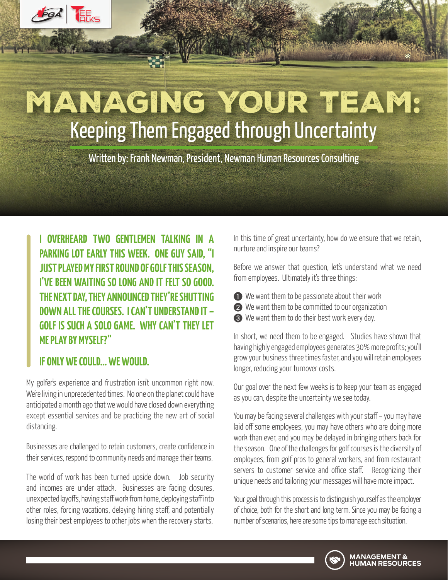# MANAGING YOUR TEAM: Keeping Them Engaged through Uncertainty

Written by: Frank Newman, President, Newman Human Resources Consulting

**I OVERHEARD TWO GENTLEMEN TALKING IN A PARKING LOT EARLY THIS WEEK. ONE GUY SAID, "I JUST PLAYED MY FIRST ROUND OF GOLF THIS SEASON, I'VE BEEN WAITING SO LONG AND IT FELT SO GOOD. THE NEXT DAY, THEY ANNOUNCED THEY'RE SHUTTING DOWN ALL THE COURSES. I CAN'T UNDERSTAND IT – GOLF IS SUCH A SOLO GAME. WHY CAN'T THEY LET ME PLAY BY MYSELF?"**

#### **IF ONLY WE COULD… WE WOULD.**

My golfer's experience and frustration isn't uncommon right now. We're living in unprecedented times. No one on the planet could have anticipated a month ago that we would have closed down everything except essential services and be practicing the new art of social distancing.

Businesses are challenged to retain customers, create confidence in their services, respond to community needs and manage their teams.

The world of work has been turned upside down. Job security and incomes are under attack. Businesses are facing closures, unexpected layoffs, having staff work from home, deploying staff into other roles, forcing vacations, delaying hiring staff, and potentially losing their best employees to other jobs when the recovery starts.

In this time of great uncertainty, how do we ensure that we retain, nurture and inspire our teams?

Before we answer that question, let's understand what we need from employees. Ultimately it's three things:

- A We want them to be passionate about their work
- **2** We want them to be committed to our organization
- C We want them to do their best work every day.

In short, we need them to be engaged. Studies have shown that having highly engaged employees generates 30% more profits; you'll grow your business three times faster, and you will retain employees longer, reducing your turnover costs.

Our goal over the next few weeks is to keep your team as engaged as you can, despite the uncertainty we see today.

You may be facing several challenges with your staff – you may have laid off some employees, you may have others who are doing more work than ever, and you may be delayed in bringing others back for the season. One of the challenges for golf courses is the diversity of employees, from golf pros to general workers, and from restaurant servers to customer service and office staff. Recognizing their unique needs and tailoring your messages will have more impact.

Your goal through this process is to distinguish yourself as the employer of choice, both for the short and long term. Since you may be facing a number of scenarios, here are some tips to manage each situation.

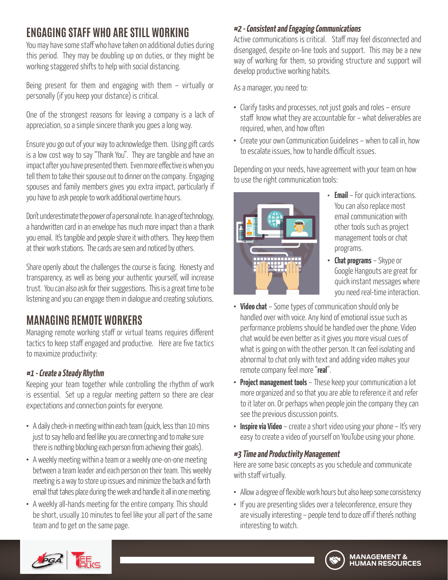## **ENGAGING STAFF WHO ARE STILL WORKING**

You may have some staff who have taken on additional duties during this period. They may be doubling up on duties, or they might be working staggered shifts to help with social distancing.

Being present for them and engaging with them – virtually or personally (if you keep your distance) is critical.

One of the strongest reasons for leaving a company is a lack of appreciation, so a simple sincere thank you goes a long way.

Ensure you go out of your way to acknowledge them. Using gift cards is a low cost way to say "Thank You". They are tangible and have an impact after you have presented them. Even more effective is when you tell them to take their spouse out to dinner on the company. Engaging spouses and family members gives you extra impact, particularly if you have to ask people to work additional overtime hours.

Don't underestimate the power of a personal note. In an age of technology, a handwritten card in an envelope has much more impact than a thank you email. It's tangible and people share it with others. They keep them at their work stations. The cards are seen and noticed by others.

Share openly about the challenges the course is facing. Honesty and transparency, as well as being your authentic yourself, will increase trust. You can also ask for their suggestions. This is a great time to be listening and you can engage them in dialogue and creating solutions.

# **MANAGING REMOTE WORKERS**

Managing remote working staff or virtual teams requires different tactics to keep staff engaged and productive. Here are five tactics to maximize productivity:

#### **#1 - Create a Steady Rhythm**

Keeping your team together while controlling the rhythm of work is essential. Set up a regular meeting pattern so there are clear expectations and connection points for everyone.

- **•** A daily check-in meeting within each team (quick, less than 10 mins just to say hello and feel like you are connecting and to make sure there is nothing blocking each person from achieving their goals).
- **•** A weekly meeting within a team or a weekly one-on-one meeting between a team leader and each person on their team. This weekly meeting is a way to store up issues and minimize the back and forth email that takes place during the week and handle it all in one meeting.
- **•** A weekly all-hands meeting for the entire company. This should be short, usually 10 minutes to feel like your all part of the same team and to get on the same page.

### **#2 - Consistent and Engaging Communications**

Active communications is critical. Staff may feel disconnected and disengaged, despite on-line tools and support. This may be a new way of working for them, so providing structure and support will develop productive working habits.

As a manager, you need to:

- **•** Clarify tasks and processes, not just goals and roles ensure staff know what they are accountable for – what deliverables are required, when, and how often
- **•** Create your own Communication Guidelines when to call in, how to escalate issues, how to handle difficult issues.

Depending on your needs, have agreement with your team on how to use the right communication tools:



- **• Email** For quick interactions. You can also replace most email communication with other tools such as project management tools or chat programs.
- **• Chat programs** Skype or Google Hangouts are great for quick instant messages where you need real-time interaction.
- **• Video chat** Some types of communication should only be handled over with voice. Any kind of emotional issue such as performance problems should be handled over the phone. Video chat would be even better as it gives you more visual cues of what is going on with the other person. It can feel isolating and abnormal to chat only with text and adding video makes your remote company feel more "**real**".
- **• Project management tools** These keep your communication a lot more organized and so that you are able to reference it and refer to it later on. Or perhaps when people join the company they can see the previous discussion points.
- **Inspire via Video** create a short video using your phone It's very easy to create a video of yourself on YouTube using your phone.

#### **#3 Time and Productivity Management**

Here are some basic concepts as you schedule and communicate with staff virtually.

- **•** Allow a degree of flexible work hours but also keep some consistency
- **•** If you are presenting slides over a teleconference, ensure they are visually interesting – people tend to doze off if there's nothing interesting to watch.